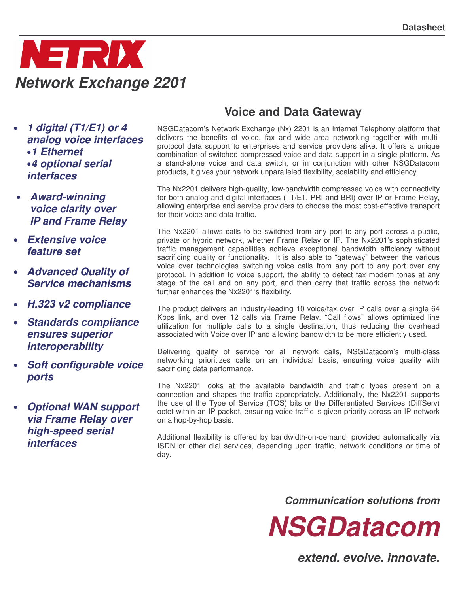

- *1 digital (T1/E1) or 4 analog voice interfaces* •*1 Ethernet* •*4 optional serial interfaces*
- *Award-winning voice clarity over IP and Frame Relay*
- *Extensive voice feature set*
- *Advanced Quality of Service mechanisms*
- *H.323 v2 compliance*
- *Standards compliance ensures superior interoperability*
- *Soft configurable voice ports*
- *Optional WAN support via Frame Relay over high-speed serial interfaces*

# **Voice and Data Gateway**

NSGDatacom's Network Exchange (Nx) 2201 is an Internet Telephony platform that delivers the benefits of voice, fax and wide area networking together with multiprotocol data support to enterprises and service providers alike. It offers a unique combination of switched compressed voice and data support in a single platform. As a stand-alone voice and data switch, or in conjunction with other NSGDatacom products, it gives your network unparalleled flexibility, scalability and efficiency.

The Nx2201 delivers high-quality, low-bandwidth compressed voice with connectivity for both analog and digital interfaces (T1/E1, PRI and BRI) over IP or Frame Relay, allowing enterprise and service providers to choose the most cost-effective transport for their voice and data traffic.

The Nx2201 allows calls to be switched from any port to any port across a public, private or hybrid network, whether Frame Relay or IP. The Nx2201's sophisticated traffic management capabilities achieve exceptional bandwidth efficiency without sacrificing quality or functionality. It is also able to "gateway" between the various voice over technologies switching voice calls from any port to any port over any protocol. In addition to voice support, the ability to detect fax modem tones at any stage of the call and on any port, and then carry that traffic across the network further enhances the Nx2201's flexibility.

The product delivers an industry-leading 10 voice/fax over IP calls over a single 64 Kbps link, and over 12 calls via Frame Relay. "Call flows" allows optimized line utilization for multiple calls to a single destination, thus reducing the overhead associated with Voice over IP and allowing bandwidth to be more efficiently used.

Delivering quality of service for all network calls, NSGDatacom's multi-class networking prioritizes calls on an individual basis, ensuring voice quality with sacrificing data performance.

The Nx2201 looks at the available bandwidth and traffic types present on a connection and shapes the traffic appropriately. Additionally, the Nx2201 supports the use of the Type of Service (TOS) bits or the Differentiated Services (DiffServ) octet within an IP packet, ensuring voice traffic is given priority across an IP network on a hop-by-hop basis.

Additional flexibility is offered by bandwidth-on-demand, provided automatically via ISDN or other dial services, depending upon traffic, network conditions or time of day.

*Communication solutions from*



*extend. evolve. innovate.*